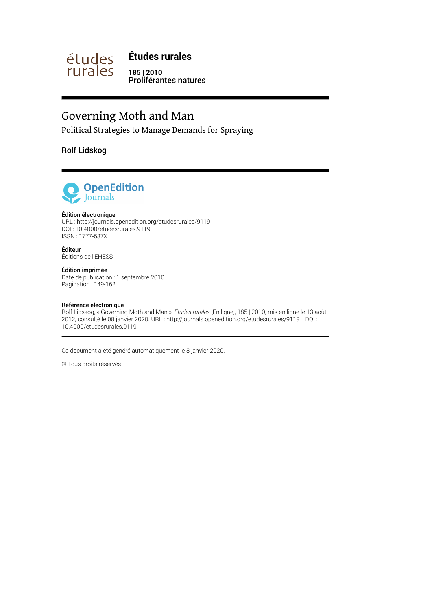

**Études rurales**

**185 | 2010** Proliférantes natures

# Governing Moth and Man

Political Strategies to Manage Demands for Spraying

Rolf Lidskog



#### Édition électronique

URL :<http://journals.openedition.org/etudesrurales/9119> DOI : 10.4000/etudesrurales.9119 ISSN : 1777-537X

Éditeur Éditions de l'EHESS

#### Édition imprimée

Date de publication : 1 septembre 2010 Pagination : 149-162

#### Référence électronique

Rolf Lidskog, « Governing Moth and Man », *Études rurales* [En ligne], 185 | 2010, mis en ligne le 13 août 2012, consulté le 08 janvier 2020. URL : http://journals.openedition.org/etudesrurales/9119 ; DOI : 10.4000/etudesrurales.9119

Ce document a été généré automatiquement le 8 janvier 2020.

© Tous droits réservés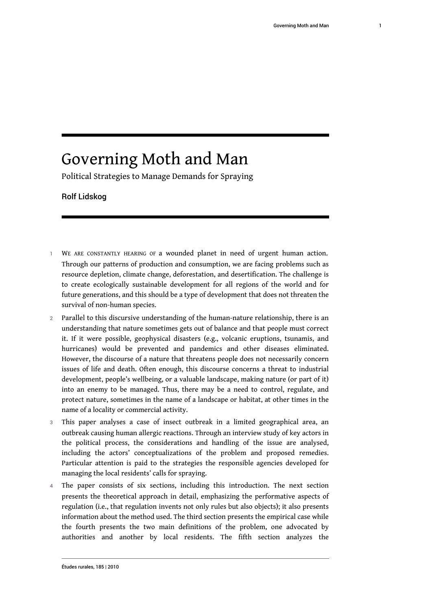# Governing Moth and Man

Political Strategies to Manage Demands for Spraying

#### Rolf Lidskog

- 1 WE ARE CONSTANTLY HEARING OF a wounded planet in need of urgent human action. Through our patterns of production and consumption, we are facing problems such as resource depletion, climate change, deforestation, and desertification. The challenge is to create ecologically sustainable development for all regions of the world and for future generations, and this should be a type of development that does not threaten the survival of non-human species.
- 2 Parallel to this discursive understanding of the human-nature relationship, there is an understanding that nature sometimes gets out of balance and that people must correct it. If it were possible, geophysical disasters (e.g., volcanic eruptions, tsunamis, and hurricanes) would be prevented and pandemics and other diseases eliminated. However, the discourse of a nature that threatens people does not necessarily concern issues of life and death. Often enough, this discourse concerns a threat to industrial development, people's wellbeing, or a valuable landscape, making nature (or part of it) into an enemy to be managed. Thus, there may be a need to control, regulate, and protect nature, sometimes in the name of a landscape or habitat, at other times in the name of a locality or commercial activity.
- 3 This paper analyses a case of insect outbreak in a limited geographical area, an outbreak causing human allergic reactions. Through an interview study of key actors in the political process, the considerations and handling of the issue are analysed, including the actors' conceptualizations of the problem and proposed remedies. Particular attention is paid to the strategies the responsible agencies developed for managing the local residents' calls for spraying.
- The paper consists of six sections, including this introduction. The next section presents the theoretical approach in detail, emphasizing the performative aspects of regulation (i.e., that regulation invents not only rules but also objects); it also presents information about the method used. The third section presents the empirical case while the fourth presents the two main definitions of the problem, one advocated by authorities and another by local residents. The fifth section analyzes the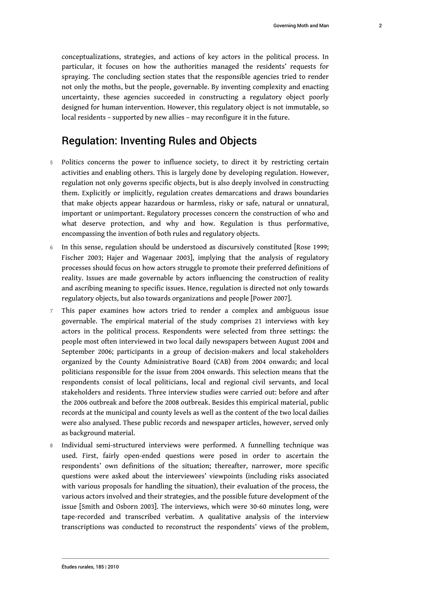conceptualizations, strategies, and actions of key actors in the political process. In particular, it focuses on how the authorities managed the residents' requests for spraying. The concluding section states that the responsible agencies tried to render not only the moths, but the people, governable. By inventing complexity and enacting uncertainty, these agencies succeeded in constructing a regulatory object poorly designed for human intervention. However, this regulatory object is not immutable, so local residents – supported by new allies – may reconfigure it in the future.

# Regulation: Inventing Rules and Objects

- 5 Politics concerns the power to influence society, to direct it by restricting certain activities and enabling others. This is largely done by developing regulation. However, regulation not only governs specific objects, but is also deeply involved in constructing them. Explicitly or implicitly, regulation creates demarcations and draws boundaries that make objects appear hazardous or harmless, risky or safe, natural or unnatural, important or unimportant. Regulatory processes concern the construction of who and what deserve protection, and why and how. Regulation is thus performative, encompassing the invention of both rules and regulatory objects.
- 6 In this sense, regulation should be understood as discursively constituted [Rose 1999; Fischer 2003; Hajer and Wagenaar 2003], implying that the analysis of regulatory processes should focus on how actors struggle to promote their preferred definitions of reality. Issues are made governable by actors influencing the construction of reality and ascribing meaning to specific issues. Hence, regulation is directed not only towards regulatory objects, but also towards organizations and people [Power 2007].
- 7 This paper examines how actors tried to render a complex and ambiguous issue governable. The empirical material of the study comprises 21 interviews with key actors in the political process. Respondents were selected from three settings: the people most often interviewed in two local daily newspapers between August 2004 and September 2006; participants in a group of decision-makers and local stakeholders organized by the County Administrative Board (CAB) from 2004 onwards; and local politicians responsible for the issue from 2004 onwards. This selection means that the respondents consist of local politicians, local and regional civil servants, and local stakeholders and residents. Three interview studies were carried out: before and after the 2006 outbreak and before the 2008 outbreak. Besides this empirical material, public records at the municipal and county levels as well as the content of the two local dailies were also analysed. These public records and newspaper articles, however, served only as background material.
- 8 Individual semi-structured interviews were performed. A funnelling technique was used. First, fairly open-ended questions were posed in order to ascertain the respondents' own definitions of the situation; thereafter, narrower, more specific questions were asked about the interviewees' viewpoints (including risks associated with various proposals for handling the situation), their evaluation of the process, the various actors involved and their strategies, and the possible future development of the issue [Smith and Osborn 2003]. The interviews, which were 30-60 minutes long, were tape-recorded and transcribed verbatim. A qualitative analysis of the interview transcriptions was conducted to reconstruct the respondents' views of the problem,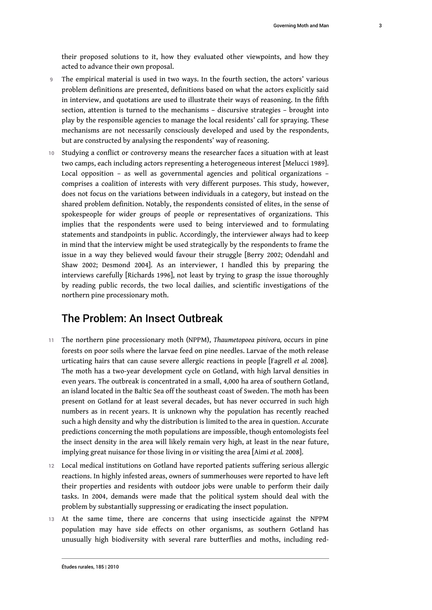their proposed solutions to it, how they evaluated other viewpoints, and how they acted to advance their own proposal.

- 9 The empirical material is used in two ways. In the fourth section, the actors' various problem definitions are presented, definitions based on what the actors explicitly said in interview, and quotations are used to illustrate their ways of reasoning. In the fifth section, attention is turned to the mechanisms – discursive strategies – brought into play by the responsible agencies to manage the local residents' call for spraying. These mechanisms are not necessarily consciously developed and used by the respondents, but are constructed by analysing the respondents' way of reasoning.
- 10 Studying a conflict or controversy means the researcher faces a situation with at least two camps, each including actors representing a heterogeneous interest [Melucci 1989]. Local opposition – as well as governmental agencies and political organizations – comprises a coalition of interests with very different purposes. This study, however, does not focus on the variations between individuals in a category, but instead on the shared problem definition. Notably, the respondents consisted of elites, in the sense of spokespeople for wider groups of people or representatives of organizations. This implies that the respondents were used to being interviewed and to formulating statements and standpoints in public. Accordingly, the interviewer always had to keep in mind that the interview might be used strategically by the respondents to frame the issue in a way they believed would favour their struggle [Berry 2002; Odendahl and Shaw 2002; Desmond 2004]. As an interviewer, I handled this by preparing the interviews carefully [Richards 1996], not least by trying to grasp the issue thoroughly by reading public records, the two local dailies, and scientific investigations of the northern pine processionary moth.

## The Problem: An Insect Outbreak

- <sup>11</sup>The northern pine processionary moth (NPPM), *Thaumetopoea pinivora,* occurs in pine forests on poor soils where the larvae feed on pine needles. Larvae of the moth release urticating hairs that can cause severe allergic reactions in people [Fagrell *et al.* 2008]. The moth has a two-year development cycle on Gotland, with high larval densities in even years. The outbreak is concentrated in a small, 4,000 ha area of southern Gotland, an island located in the Baltic Sea off the southeast coast of Sweden. The moth has been present on Gotland for at least several decades, but has never occurred in such high numbers as in recent years. It is unknown why the population has recently reached such a high density and why the distribution is limited to the area in question. Accurate predictions concerning the moth populations are impossible, though entomologists feel the insect density in the area will likely remain very high, at least in the near future, implying great nuisance for those living in or visiting the area [Aimi *et al.* 2008].
- 12 Local medical institutions on Gotland have reported patients suffering serious allergic reactions. In highly infested areas, owners of summerhouses were reported to have left their properties and residents with outdoor jobs were unable to perform their daily tasks. In 2004, demands were made that the political system should deal with the problem by substantially suppressing or eradicating the insect population.
- 13 At the same time, there are concerns that using insecticide against the NPPM population may have side effects on other organisms, as southern Gotland has unusually high biodiversity with several rare butterflies and moths, including red-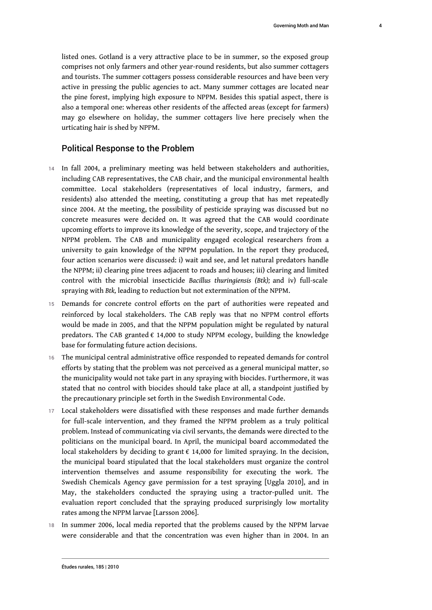listed ones. Gotland is a very attractive place to be in summer, so the exposed group comprises not only farmers and other year-round residents, but also summer cottagers and tourists. The summer cottagers possess considerable resources and have been very active in pressing the public agencies to act. Many summer cottages are located near the pine forest, implying high exposure to NPPM. Besides this spatial aspect, there is also a temporal one: whereas other residents of the affected areas (except for farmers) may go elsewhere on holiday, the summer cottagers live here precisely when the urticating hair is shed by NPPM.

#### Political Response to the Problem

- 14 In fall 2004, a preliminary meeting was held between stakeholders and authorities, including CAB representatives, the CAB chair, and the municipal environmental health committee. Local stakeholders (representatives of local industry, farmers, and residents) also attended the meeting, constituting a group that has met repeatedly since 2004. At the meeting, the possibility of pesticide spraying was discussed but no concrete measures were decided on. It was agreed that the CAB would coordinate upcoming efforts to improve its knowledge of the severity, scope, and trajectory of the NPPM problem. The CAB and municipality engaged ecological researchers from a university to gain knowledge of the NPPM population. In the report they produced, four action scenarios were discussed: i) wait and see, and let natural predators handle the NPPM; ii) clearing pine trees adjacent to roads and houses; iii) clearing and limited control with the microbial insecticide *Bacillus thuringiensis (Btk);* and iv) full-scale spraying with *Btk,* leading to reduction but not extermination of the NPPM.
- 15 Demands for concrete control efforts on the part of authorities were repeated and reinforced by local stakeholders. The CAB reply was that no NPPM control efforts would be made in 2005, and that the NPPM population might be regulated by natural predators. The CAB granted € 14,000 to study NPPM ecology, building the knowledge base for formulating future action decisions.
- 16 The municipal central administrative office responded to repeated demands for control efforts by stating that the problem was not perceived as a general municipal matter, so the municipality would not take part in any spraying with biocides. Furthermore, it was stated that no control with biocides should take place at all, a standpoint justified by the precautionary principle set forth in the Swedish Environmental Code.
- 17 Local stakeholders were dissatisfied with these responses and made further demands for full-scale intervention, and they framed the NPPM problem as a truly political problem. Instead of communicating via civil servants, the demands were directed to the politicians on the municipal board. In April, the municipal board accommodated the local stakeholders by deciding to grant  $\epsilon$  14,000 for limited spraying. In the decision, the municipal board stipulated that the local stakeholders must organize the control intervention themselves and assume responsibility for executing the work. The Swedish Chemicals Agency gave permission for a test spraying [Uggla 2010], and in May, the stakeholders conducted the spraying using a tractor-pulled unit. The evaluation report concluded that the spraying produced surprisingly low mortality rates among the NPPM larvae [Larsson 2006].
- 18 In summer 2006, local media reported that the problems caused by the NPPM larvae were considerable and that the concentration was even higher than in 2004. In an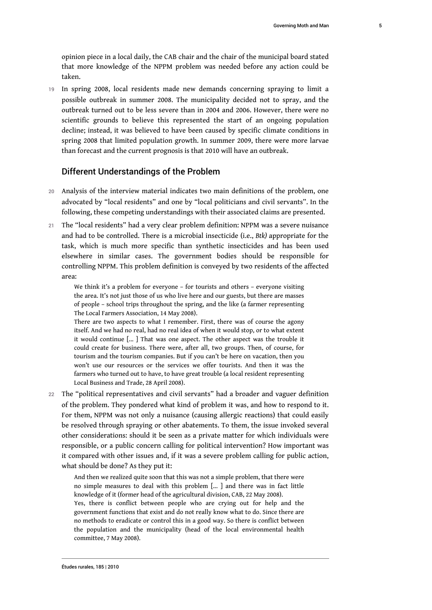opinion piece in a local daily, the CAB chair and the chair of the municipal board stated that more knowledge of the NPPM problem was needed before any action could be taken.

19 In spring 2008, local residents made new demands concerning spraying to limit a possible outbreak in summer 2008. The municipality decided not to spray, and the outbreak turned out to be less severe than in 2004 and 2006. However, there were no scientific grounds to believe this represented the start of an ongoing population decline; instead, it was believed to have been caused by specific climate conditions in spring 2008 that limited population growth. In summer 2009, there were more larvae than forecast and the current prognosis is that 2010 will have an outbreak.

## Different Understandings of the Problem

- 20 Analysis of the interview material indicates two main definitions of the problem, one advocated by "local residents" and one by "local politicians and civil servants". In the following, these competing understandings with their associated claims are presented.
- 21 The "local residents" had a very clear problem definition: NPPM was a severe nuisance and had to be controlled. There is a microbial insecticide (i.e., *Btk)* appropriate for the task, which is much more specific than synthetic insecticides and has been used elsewhere in similar cases. The government bodies should be responsible for controlling NPPM. This problem definition is conveyed by two residents of the affected area:

We think it's a problem for everyone – for tourists and others – everyone visiting the area. It's not just those of us who live here and our guests, but there are masses of people – school trips throughout the spring, and the like (a farmer representing The Local Farmers Association, 14 May 2008).

There are two aspects to what I remember. First, there was of course the agony itself. And we had no real, had no real idea of when it would stop, or to what extent it would continue [... ] That was one aspect. The other aspect was the trouble it could create for business. There were, after all, two groups. Then, of course, for tourism and the tourism companies. But if you can't be here on vacation, then you won't use our resources or the services we offer tourists. And then it was the farmers who turned out to have, to have great trouble (a local resident representing Local Business and Trade, 28 April 2008).

22 The "political representatives and civil servants" had a broader and vaguer definition of the problem. They pondered what kind of problem it was, and how to respond to it. For them, NPPM was not only a nuisance (causing allergic reactions) that could easily be resolved through spraying or other abatements. To them, the issue invoked several other considerations: should it be seen as a private matter for which individuals were responsible, or a public concern calling for political intervention? How important was it compared with other issues and, if it was a severe problem calling for public action, what should be done? As they put it:

And then we realized quite soon that this was not a simple problem, that there were no simple measures to deal with this problem [... ] and there was in fact little knowledge of it (former head of the agricultural division, CAB, 22 May 2008).

Yes, there is conflict between people who are crying out for help and the government functions that exist and do not really know what to do. Since there are no methods to eradicate or control this in a good way. So there is conflict between the population and the municipality (head of the local environmental health committee, 7 May 2008).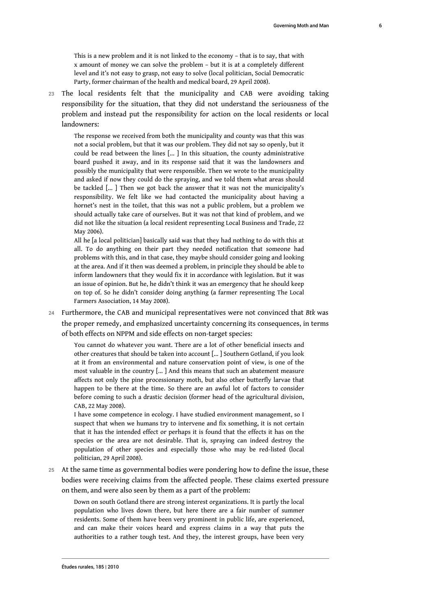This is a new problem and it is not linked to the economy – that is to say, that with x amount of money we can solve the problem – but it is at a completely different level and it's not easy to grasp, not easy to solve (local politician, Social Democratic Party, former chairman of the health and medical board, 29 April 2008).

23 The local residents felt that the municipality and CAB were avoiding taking responsibility for the situation, that they did not understand the seriousness of the problem and instead put the responsibility for action on the local residents or local landowners:

The response we received from both the municipality and county was that this was not a social problem, but that it was our problem. They did not say so openly, but it could be read between the lines [... ] In this situation, the county administrative board pushed it away, and in its response said that it was the landowners and possibly the municipality that were responsible. Then we wrote to the municipality and asked if now they could do the spraying, and we told them what areas should be tackled [... ] Then we got back the answer that it was not the municipality's responsibility. We felt like we had contacted the municipality about having a hornet's nest in the toilet, that this was not a public problem, but a problem we should actually take care of ourselves. But it was not that kind of problem, and we did not like the situation (a local resident representing Local Business and Trade, 22 May 2006).

All he [a local politician] basically said was that they had nothing to do with this at all. To do anything on their part they needed notification that someone had problems with this, and in that case, they maybe should consider going and looking at the area. And if it then was deemed a problem, in principle they should be able to inform landowners that they would fix it in accordance with legislation. But it was an issue of opinion. But he, he didn't think it was an emergency that he should keep on top of. So he didn't consider doing anything (a farmer representing The Local Farmers Association, 14 May 2008).

<sup>24</sup>Furthermore, the CAB and municipal representatives were not convinced that *Btk* was the proper remedy, and emphasized uncertainty concerning its consequences, in terms of both effects on NPPM and side effects on non-target species:

You cannot do whatever you want. There are a lot of other beneficial insects and other creatures that should be taken into account [... ] Southern Gotland, if you look at it from an environmental and nature conservation point of view, is one of the most valuable in the country [... ] And this means that such an abatement measure affects not only the pine processionary moth, but also other butterfly larvae that happen to be there at the time. So there are an awful lot of factors to consider before coming to such a drastic decision (former head of the agricultural division, CAB, 22 May 2008).

I have some competence in ecology. I have studied environment management, so I suspect that when we humans try to intervene and fix something, it is not certain that it has the intended effect or perhaps it is found that the effects it has on the species or the area are not desirable. That is, spraying can indeed destroy the population of other species and especially those who may be red-listed (local politician, 29 April 2008).

25 At the same time as governmental bodies were pondering how to define the issue, these bodies were receiving claims from the affected people. These claims exerted pressure on them, and were also seen by them as a part of the problem:

Down on south Gotland there are strong interest organizations. It is partly the local population who lives down there, but here there are a fair number of summer residents. Some of them have been very prominent in public life, are experienced, and can make their voices heard and express claims in a way that puts the authorities to a rather tough test. And they, the interest groups, have been very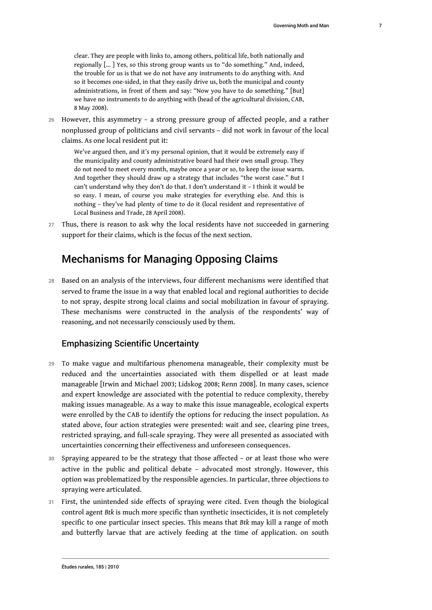clear. They are people with links to, among others, political life, both nationally and regionally [... ] Yes, so this strong group wants us to "do something." And, indeed, the trouble for us is that we do not have any instruments to do anything with. And so it becomes one-sided, in that they easily drive us, both the municipal and county administrations, in front of them and say: "Now you have to do something." [But] we have no instruments to do anything with (head of the agricultural division, CAB, 8 May 2008).

26 However, this asymmetry – a strong pressure group of affected people, and a rather nonplussed group of politicians and civil servants – did not work in favour of the local claims. As one local resident put it:

We've argued then, and it's my personal opinion, that it would be extremely easy if the municipality and county administrative board had their own small group. They do not need to meet every month, maybe once a year or so, to keep the issue warm. And together they should draw up a strategy that includes "the worst case." But I can't understand why they don't do that. I don't understand it – I think it would be so easy. I mean, of course you make strategies for everything else. And this is nothing – they've had plenty of time to do it (local resident and representative of Local Business and Trade, 28 April 2008).

27 Thus, there is reason to ask why the local residents have not succeeded in garnering support for their claims, which is the focus of the next section.

# Mechanisms for Managing Opposing Claims

28 Based on an analysis of the interviews, four different mechanisms were identified that served to frame the issue in a way that enabled local and regional authorities to decide to not spray, despite strong local claims and social mobilization in favour of spraying. These mechanisms were constructed in the analysis of the respondents' way of reasoning, and not necessarily consciously used by them.

## Emphasizing Scientific Uncertainty

- 29 To make vague and multifarious phenomena manageable, their complexity must be reduced and the uncertainties associated with them dispelled or at least made manageable [Irwin and Michael 2003; Lidskog 2008; Renn 2008]. In many cases, science and expert knowledge are associated with the potential to reduce complexity, thereby making issues manageable. As a way to make this issue manageable, ecological experts were enrolled by the CAB to identify the options for reducing the insect population. As stated above, four action strategies were presented: wait and see, clearing pine trees, restricted spraying, and full-scale spraying. They were all presented as associated with uncertainties concerning their effectiveness and unforeseen consequences.
- 30 Spraying appeared to be the strategy that those affected or at least those who were active in the public and political debate – advocated most strongly. However, this option was problematized by the responsible agencies. In particular, three objections to spraying were articulated.
- 31 First, the unintended side effects of spraying were cited. Even though the biological control agent *Btk* is much more specific than synthetic insecticides, it is not completely specific to one particular insect species. This means that *Btk* may kill a range of moth and butterfly larvae that are actively feeding at the time of application. on south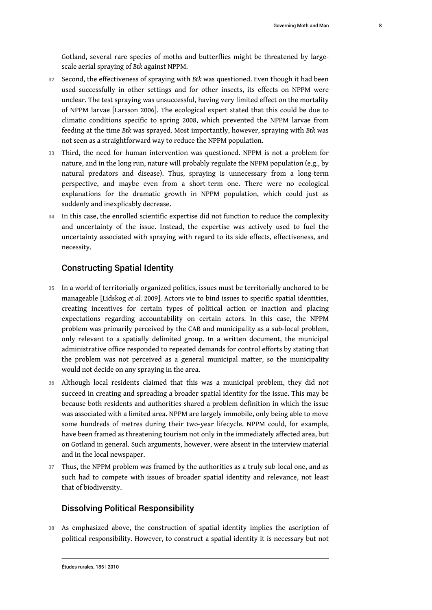Gotland, several rare species of moths and butterflies might be threatened by largescale aerial spraying of *Btk* against NPPM.

- <sup>32</sup>Second, the effectiveness of spraying with *Btk* was questioned. Even though it had been used successfully in other settings and for other insects, its effects on NPPM were unclear. The test spraying was unsuccessful, having very limited effect on the mortality of NPPM larvae [Larsson 2006]. The ecological expert stated that this could be due to climatic conditions specific to spring 2008, which prevented the NPPM larvae from feeding at the time *Btk* was sprayed. Most importantly, however, spraying with *Btk* was not seen as a straightforward way to reduce the NPPM population.
- 33 Third, the need for human intervention was questioned. NPPM is not a problem for nature, and in the long run, nature will probably regulate the NPPM population (e.g., by natural predators and disease). Thus, spraying is unnecessary from a long-term perspective, and maybe even from a short-term one. There were no ecological explanations for the dramatic growth in NPPM population, which could just as suddenly and inexplicably decrease.
- 34 In this case, the enrolled scientific expertise did not function to reduce the complexity and uncertainty of the issue. Instead, the expertise was actively used to fuel the uncertainty associated with spraying with regard to its side effects, effectiveness, and necessity.

## Constructing Spatial Identity

- 35 In a world of territorially organized politics, issues must be territorially anchored to be manageable [Lidskog *et al.* 2009]. Actors vie to bind issues to specific spatial identities, creating incentives for certain types of political action or inaction and placing expectations regarding accountability on certain actors. In this case, the NPPM problem was primarily perceived by the CAB and municipality as a sub-local problem, only relevant to a spatially delimited group. In a written document, the municipal administrative office responded to repeated demands for control efforts by stating that the problem was not perceived as a general municipal matter, so the municipality would not decide on any spraying in the area.
- 36 Although local residents claimed that this was a municipal problem, they did not succeed in creating and spreading a broader spatial identity for the issue. This may be because both residents and authorities shared a problem definition in which the issue was associated with a limited area. NPPM are largely immobile, only being able to move some hundreds of metres during their two-year lifecycle. NPPM could, for example, have been framed as threatening tourism not only in the immediately affected area, but on Gotland in general. Such arguments, however, were absent in the interview material and in the local newspaper.
- 37 Thus, the NPPM problem was framed by the authorities as a truly sub-local one, and as such had to compete with issues of broader spatial identity and relevance, not least that of biodiversity.

#### Dissolving Political Responsibility

38 As emphasized above, the construction of spatial identity implies the ascription of political responsibility. However, to construct a spatial identity it is necessary but not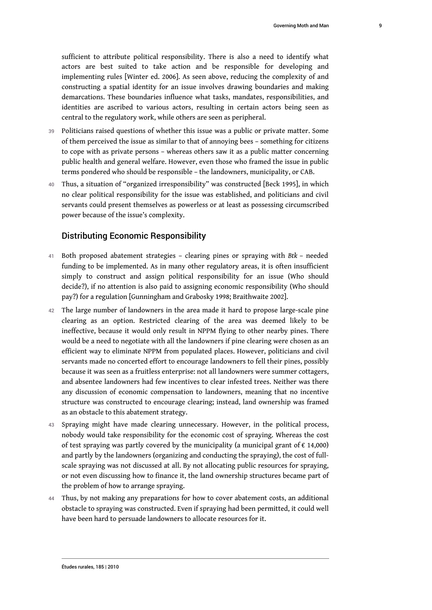sufficient to attribute political responsibility. There is also a need to identify what actors are best suited to take action and be responsible for developing and implementing rules [Winter ed. 2006]. As seen above, reducing the complexity of and constructing a spatial identity for an issue involves drawing boundaries and making demarcations. These boundaries influence what tasks, mandates, responsibilities, and identities are ascribed to various actors, resulting in certain actors being seen as central to the regulatory work, while others are seen as peripheral.

- 39 Politicians raised questions of whether this issue was a public or private matter. Some of them perceived the issue as similar to that of annoying bees – something for citizens to cope with as private persons – whereas others saw it as a public matter concerning public health and general welfare. However, even those who framed the issue in public terms pondered who should be responsible – the landowners, municipality, or CAB.
- 40 Thus, a situation of "organized irresponsibility" was constructed [Beck 1995], in which no clear political responsibility for the issue was established, and politicians and civil servants could present themselves as powerless or at least as possessing circumscribed power because of the issue's complexity.

#### Distributing Economic Responsibility

- <sup>41</sup>Both proposed abatement strategies clearing pines or spraying with *Btk* needed funding to be implemented. As in many other regulatory areas, it is often insufficient simply to construct and assign political responsibility for an issue (Who should decide?), if no attention is also paid to assigning economic responsibility (Who should pay?) for a regulation [Gunningham and Grabosky 1998; Braithwaite 2002].
- 42 The large number of landowners in the area made it hard to propose large-scale pine clearing as an option. Restricted clearing of the area was deemed likely to be ineffective, because it would only result in NPPM flying to other nearby pines. There would be a need to negotiate with all the landowners if pine clearing were chosen as an efficient way to eliminate NPPM from populated places. However, politicians and civil servants made no concerted effort to encourage landowners to fell their pines, possibly because it was seen as a fruitless enterprise: not all landowners were summer cottagers, and absentee landowners had few incentives to clear infested trees. Neither was there any discussion of economic compensation to landowners, meaning that no incentive structure was constructed to encourage clearing; instead, land ownership was framed as an obstacle to this abatement strategy.
- 43 Spraying might have made clearing unnecessary. However, in the political process, nobody would take responsibility for the economic cost of spraying. Whereas the cost of test spraying was partly covered by the municipality (a municipal grant of  $\epsilon$  14,000) and partly by the landowners (organizing and conducting the spraying), the cost of fullscale spraying was not discussed at all. By not allocating public resources for spraying, or not even discussing how to finance it, the land ownership structures became part of the problem of how to arrange spraying.
- 44 Thus, by not making any preparations for how to cover abatement costs, an additional obstacle to spraying was constructed. Even if spraying had been permitted, it could well have been hard to persuade landowners to allocate resources for it.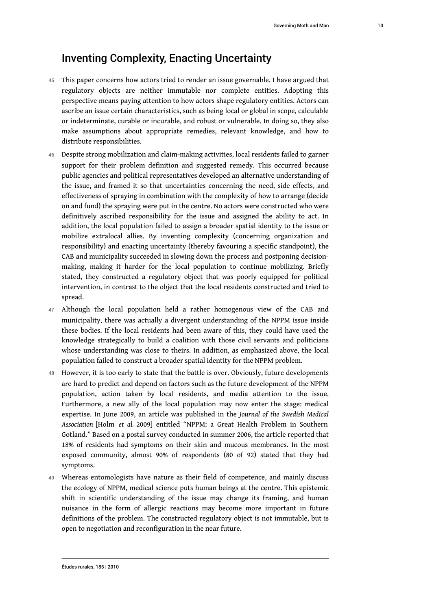# Inventing Complexity, Enacting Uncertainty

- 45 This paper concerns how actors tried to render an issue governable. I have argued that regulatory objects are neither immutable nor complete entities. Adopting this perspective means paying attention to how actors shape regulatory entities. Actors can ascribe an issue certain characteristics, such as being local or global in scope, calculable or indeterminate, curable or incurable, and robust or vulnerable. In doing so, they also make assumptions about appropriate remedies, relevant knowledge, and how to distribute responsibilities.
- 46 Despite strong mobilization and claim-making activities, local residents failed to garner support for their problem definition and suggested remedy. This occurred because public agencies and political representatives developed an alternative understanding of the issue, and framed it so that uncertainties concerning the need, side effects, and effectiveness of spraying in combination with the complexity of how to arrange (decide on and fund) the spraying were put in the centre. No actors were constructed who were definitively ascribed responsibility for the issue and assigned the ability to act. In addition, the local population failed to assign a broader spatial identity to the issue or mobilize extralocal allies. By inventing complexity (concerning organization and responsibility) and enacting uncertainty (thereby favouring a specific standpoint), the CAB and municipality succeeded in slowing down the process and postponing decisionmaking, making it harder for the local population to continue mobilizing. Briefly stated, they constructed a regulatory object that was poorly equipped for political intervention, in contrast to the object that the local residents constructed and tried to spread.
- 47 Although the local population held a rather homogenous view of the CAB and municipality, there was actually a divergent understanding of the NPPM issue inside these bodies. If the local residents had been aware of this, they could have used the knowledge strategically to build a coalition with those civil servants and politicians whose understanding was close to theirs. In addition, as emphasized above, the local population failed to construct a broader spatial identity for the NPPM problem.
- 48 However, it is too early to state that the battle is over. Obviously, future developments are hard to predict and depend on factors such as the future development of the NPPM population, action taken by local residents, and media attention to the issue. Furthermore, a new ally of the local population may now enter the stage: medical expertise. In June 2009, an article was published in the *Journal of the Swedish Medical Association* [Holm *et al.* 2009] entitled "NPPM: a Great Health Problem in Southern Gotland." Based on a postal survey conducted in summer 2006, the article reported that 18% of residents had symptoms on their skin and mucous membranes. In the most exposed community, almost 90% of respondents (80 of 92) stated that they had symptoms.
- 49 Whereas entomologists have nature as their field of competence, and mainly discuss the ecology of NPPM, medical science puts human beings at the centre. This epistemic shift in scientific understanding of the issue may change its framing, and human nuisance in the form of allergic reactions may become more important in future definitions of the problem. The constructed regulatory object is not immutable, but is open to negotiation and reconfiguration in the near future.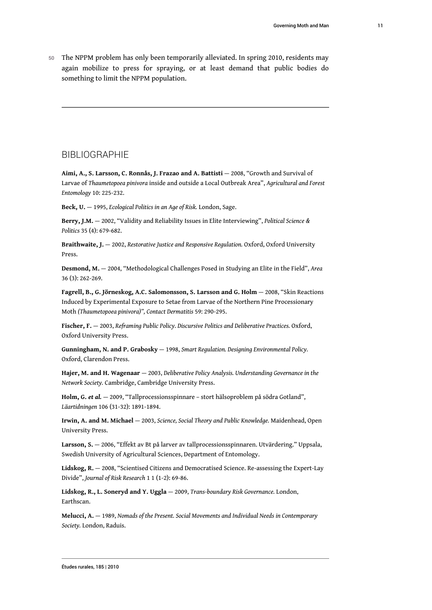50 The NPPM problem has only been temporarily alleviated. In spring 2010, residents may again mobilize to press for spraying, or at least demand that public bodies do something to limit the NPPM population.

## **BIBLIOGRAPHIE**

**Aimi, A., S. Larsson, C. Ronnås, J. Frazao and A. Battisti** — 2008, "Growth and Survival of Larvae of *Thaumetopoea pinivora* inside and outside a Local Outbreak Area", *Agricultural and Forest Entomology* 10: 225-232.

**Beck, U.** — 1995, *Ecological Politics in an Age of Risk.* London, Sage.

**Berry, J.M.** — 2002, "Validity and Reliability Issues in Elite Interviewing", *Political Science & Politics* 35 (4): 679-682.

**Braithwaite, J.** — 2002, *Restorative Justice and Responsive Regulation.* Oxford, Oxford University Press.

**Desmond, M.** — 2004, "Methodological Challenges Posed in Studying an Elite in the Field", *Area* 36 (3): 262-269.

**Fagrell, B., G. Jörneskog, A.C. Salomonsson, S. Larsson and G. Holm** — 2008, "Skin Reactions Induced by Experimental Exposure to Setae from Larvae of the Northern Pine Processionary Moth *(Thaumetopoea pinivora)", Contact Dermatitis* 59: 290-295.

**Fischer, F.** — 2003, *Reframing Public Policy. Discursive Politics and Deliberative Practices.* Oxford, Oxford University Press.

**Gunningham, N. and P. Grabosky** — 1998, *Smart Regulation. Designing Environmental Policy.* Oxford, Clarendon Press.

**Hajer, M. and H. Wagenaar** — 2003, *Deliberative Policy Analysis. Understanding Governance in the Network Society.* Cambridge, Cambridge University Press.

**Holm, G.** *et al.* — 2009, "Tallprocessionsspinnare – stort hälsoproblem på södra Gotland", *Läartidningen* 106 (31-32): 1891-1894.

**Irwin, A. and M. Michael** — 2003, *Science, Social Theory and Public Knowledge.* Maidenhead, Open University Press.

**Larsson, S.** — 2006, "Effekt av Bt på larver av tallprocessionsspinnaren. Utvärdering." Uppsala, Swedish University of Agricultural Sciences, Department of Entomology.

**Lidskog, R.** — 2008, "Scientised Citizens and Democratised Science. Re-assessing the Expert-Lay Divide", *Journal of Risk Research* 1 1 (1-2): 69-86.

**Lidskog, R., L. Soneryd and Y. Uggla** — 2009, *Trans-boundary Risk Governance.* London, Earthscan.

**Melucci, A.** — 1989, *Nomads of the Present. Social Movements and Individual Needs in Contemporary Society.* London, Raduis.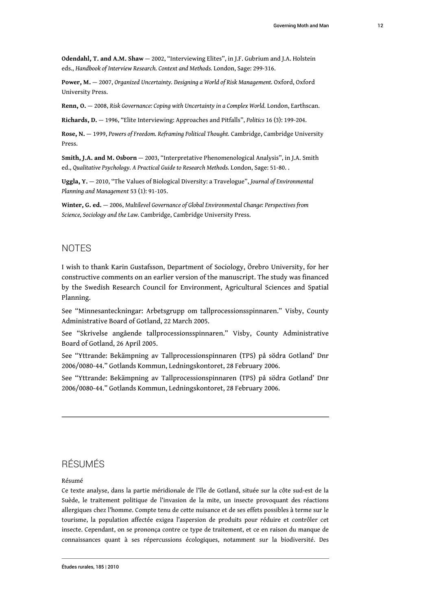**Odendahl, T. and A.M. Shaw** — 2002, "Interviewing Elites", in J.F. Gubrium and J.A. Holstein eds., *Handbook of Interview Research. Context and Methods.* London, Sage: 299-316.

**Power, M.** — 2007, *Organized Uncertainty. Designing a World of Risk Management.* Oxford, Oxford University Press.

**Renn, O.** — 2008, *Risk Governance: Coping with Uncertainty in a Complex World.* London, Earthscan.

**Richards, D.** — 1996, "Elite Interviewing: Approaches and Pitfalls", *Politics* 16 (3): 199-204.

**Rose, N.** — 1999, *Powers of Freedom. Reframing Political Thought.* Cambridge, Cambridge University Press.

**Smith, J.A. and M. Osborn** — 2003, "Interpretative Phenomenological Analysis", in J.A. Smith ed., *Qualitative Psychology. A Practical Guide to Research Methods.* London, Sage: 51-80. .

**Uggla, Y.** — 2010, "The Values of Biological Diversity: a Travelogue", *Journal of Environmental Planning and Management* 53 (1): 91-105.

**Winter, G. ed.** — 2006, *Multilevel Governance of Global Environmental Change: Perspectives from Science, Sociology and the Law.* Cambridge, Cambridge University Press.

## **NOTES**

I wish to thank Karin Gustafsson, Department of Sociology, Örebro University, for her constructive comments on an earlier version of the manuscript. The study was financed by the Swedish Research Council for Environment, Agricultural Sciences and Spatial Planning.

See "Minnesanteckningar: Arbetsgrupp om tallprocessionsspinnaren." Visby, County Administrative Board of Gotland, 22 March 2005.

See "Skrivelse angående tallprocessionsspinnaren." Visby, County Administrative Board of Gotland, 26 April 2005.

See "Yttrande: Bekämpning av Tallprocessionspinnaren (TPS) på södra Gotland' Dnr 2006/0080-44." Gotlands Kommun, Ledningskontoret, 28 February 2006.

See "Yttrande: Bekämpning av Tallprocessionspinnaren (TPS) på södra Gotland' Dnr 2006/0080-44." Gotlands Kommun, Ledningskontoret, 28 February 2006.

# RÉSUMÉS

#### Résumé

Ce texte analyse, dans la partie méridionale de l'île de Gotland, située sur la côte sud-est de la Suède, le traitement politique de l'invasion de la mite, un insecte provoquant des réactions allergiques chez l'homme. Compte tenu de cette nuisance et de ses effets possibles à terme sur le tourisme, la population affectée exigea l'aspersion de produits pour réduire et contrôler cet insecte. Cependant, on se prononça contre ce type de traitement, et ce en raison du manque de connaissances quant à ses répercussions écologiques, notamment sur la biodiversité. Des